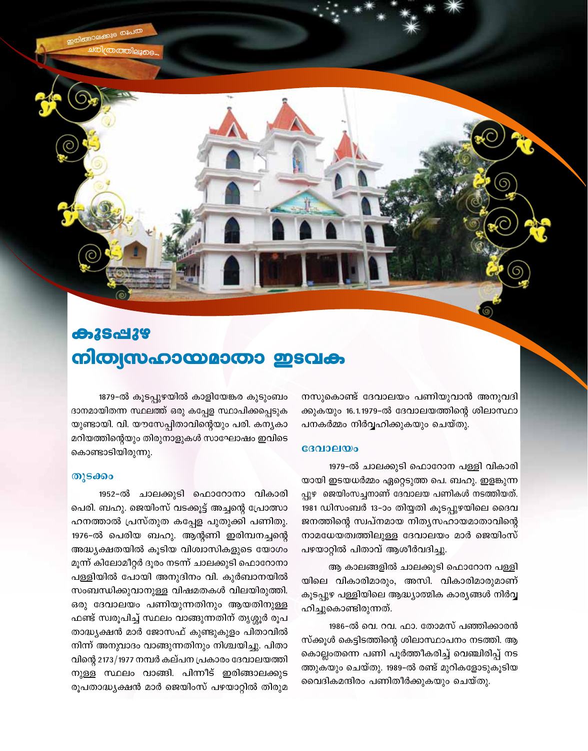**കൂടപ്പുഴ** നിത്വസഹായമാതാ ഇടവക

1879-ൽ കൂടപ്പുഴയിൽ കാളിയേങ്കര കുടുംബം ദാനമായിതന്ന സ്ഥലത്ത് ഒരു കപ്പേള സ്ഥാപിക്കപ്പെടുക യുണ്ടായി. വി. യൗസേപ്പിതാവിന്റെയും പരി. കന്യകാ മറിയത്തിന്റെയും തിരുനാളുകൾ സാഘോഷം ഇവിടെ കൊണ്ടാടിയിരുന്നു.

## തുടക്കം

1952-ൽ ചാലക്കുടി ഫൊറോനാ വികാരി പെരി. ബഹു. ജെയിംസ് വടക്കൂട്ട് അച്ചന്റെ പ്രോത്സാ ഹനത്താൽ പ്രസ്തുത കപ്പേള പുതുക്കി പണിതു. 1976-ൽ പെരിയ ബഹു. ആന്റണി ഇരിമ്പനച്ചന്റെ അദ്ധ്യക്ഷതയിൽ കൂടിയ വിശ്വാസികളുടെ യോഗം മൂന്ന് കിലോമീറ്റർ ദൂരം നടന്ന് ചാലക്കുടി ഫൊറോനാ പള്ളിയിൽ പോയി അനുദിനം വി. കുർബാനയിൽ സംബന്ധിക്കുവാനുള്ള വിഷമതകൾ വിലയിരുത്തി. ഒരു ദേവാലയം പണിയുന്നതിനും ആയതിനുള്ള ഫണ്ട് സ്വരൂപിച്ച് സ്ഥലം വാങ്ങുന്നതിന് തൃശ്ശൂർ രൂപ താദ്ധ്യക്ഷൻ മാർ ജോസഫ് കുണ്ടുകുളം പിതാവിൽ നിന്ന് അനുവാദം വാങ്ങുന്നതിനും നിശ്ചയിച്ചു. പിതാ വിന്റെ 2173/1977 നമ്പർ കല്പന പ്രകാരം ദേവാലയത്തി നുള്ള സ്ഥലം വാങ്ങി. പിന്നീട് ഇരിങ്ങാലക്കുട രൂപതാദ്ധ്യക്ഷൻ മാർ ജെയിംസ് പഴയാറ്റിൽ തിരുമ നസുകൊണ്ട് ദേവാലയം പണിയുവാൻ അനുവദി ക്കുകയും 16.1.1979-ൽ ദേവാലയത്തിന്റെ ശിലാസ്ഥാ പനകർമ്മം നിർവ്വഹിക്കുകയും ചെയ്തു.

#### $$

1979-ൽ ചാലക്കുടി ഫൊറോന പള്ളി വികാരി യായി ഇടയധർമ്മം ഏറ്റെടുത്ത പെ. ബഹു. ഇളങ്കുന്ന പ്പുഴ ജെയിംസച്ചനാണ് ദേവാലയ പണികൾ നടത്തിയത്. 1981 ഡിസംബർ 13–ാം തിയ്യതി കൂടപ്പുഴയിലെ ദൈവ ജനത്തിന്റെ സ്വപ്നമായ നിത്യസഹായമാതാവിന്റെ നാമധേയത്വത്തിലുള്ള ദേവാലയം മാർ ജെയിംസ് പഴയാറ്റിൽ പിതാവ് ആശീർവദിച്ചു.

ആ കാലങ്ങളിൽ ചാലക്കുടി ഫൊറോന പള്ളി യിലെ വികാരിമാരും, അസി. വികാരിമാരുമാണ് കൂടപ്പുഴ പള്ളിയിലെ ആദ്ധ്യാത്മിക കാര്യങ്ങൾ നിർവ്വ ഹിച്ചുകൊണ്ടിരുന്നത്.

1986-ൽ വെ. റവ. ഫാ. തോമസ് പഞ്ഞിക്കാരൻ സ്ക്കൂൾ കെട്ടിടത്തിന്റെ ശിലാസ്ഥാപനം നടത്തി. ആ കൊല്ലംതന്നെ പണി പൂർത്തീകരിച്ച് വെഞ്ചിരിപ്പ് നട ത്തുകയും ചെയ്തു. 1989-ൽ രണ്ട് മുറികളോടുകൂടിയ വൈദികമന്ദിരം പണിതീർക്കുകയും ചെയ്തു.